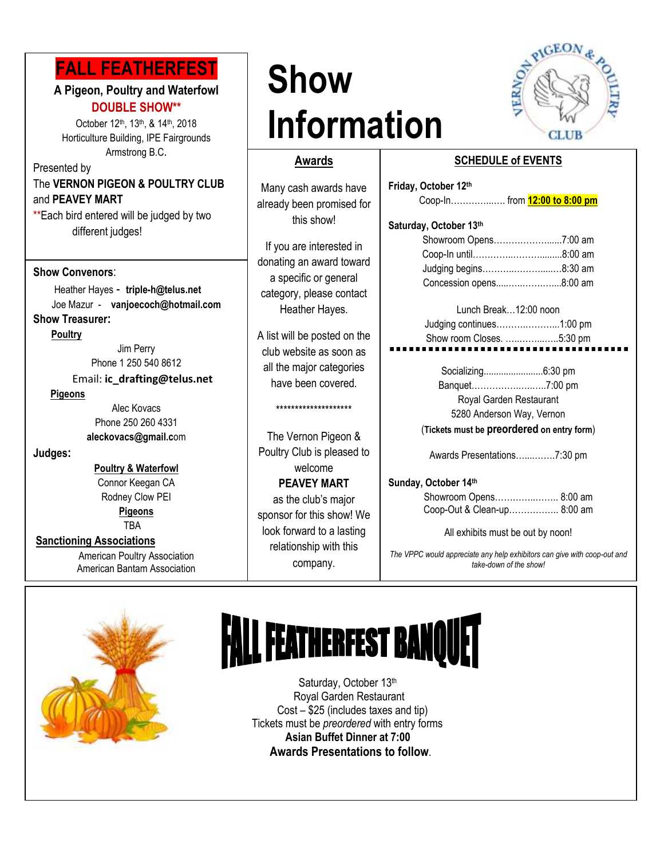## **FALL FEATHERFEST**

#### **A Pigeon, Poultry and Waterfowl DOUBLE SHOW\*\***

 Horticulture Building, IPE Fairgrounds October 12<sup>th</sup>, 13<sup>th</sup>, & 14<sup>th</sup>, 2018 Armstrong B.C.

Presented by The **VERNON PIGEON & POULTRY CLUB** and **PEAVEY MART**

\*\*Each bird entered will be judged by two different judges!

#### **Show Convenors**:

 Heather Hayes - **triple-h@telus.net** Joe Mazur- **vanjoecoch@hotmail.com Show Treasurer:**

 **Poultry**

Jim Perry Phone 1 250 540 8612

Email: **ic\_drafting@telus.net**

#### **Pigeons**

Alec Kovacs Phone 250 260 4331 **aleckovacs@gmail.c**om

**Judges:**

**Poultry & Waterfowl** Connor Keegan CA Rodney Clow PEI **Pigeons**

TBA

#### **Sanctioning Associations**

American Poultry Association American Bantam Association

## **Show Information**



#### **Awards**

**B**<br>
Many cash awards have already been promised for this show!

> If you are interested in donating an award toward a specific or general category, please contact Heather Hayes.

> A list will be posted on the club website as soon as all the major categories have been covered.

#### \*\*\*\*\*\*\*\*\*\*\*\*\*\*\*\*\*\*\*\*

The Vernon Pigeon & Poultry Club is pleased to welcome **PEAVEY MART** 

as the club's major sponsor for this show! We look forward to a lasting relationship with this company.

## **SCHEDULE of EVENTS**

| Friday, October 12th          |  |
|-------------------------------|--|
| Coop-In from 12:00 to 8:00 pm |  |
| Saturday, October 13th        |  |
|                               |  |
|                               |  |
|                               |  |
| Concession opens8:00 am       |  |
| Lunch Break12:00 noon         |  |
| ludaina continuae             |  |

#### Judging continues……….………...1:00 pm Show room Closes. …..……...…..5:30 pm

Socializing........................6:30 pm Banquet…………….…..…..7:00 pm Royal Garden Restaurant 5280 Anderson Way, Vernon

(**Tickets must be preordered on entry form**)

Awards Presentations…....…….7:30 pm

#### **Sunday, October 14th**

Showroom Opens…………..…….. 8:00 am Coop-Out & Clean-up…………….. 8:00 am

All exhibits must be out by noon!

*The VPPC would appreciate any help exhibitors can give with coop-out and take-down of the show!*



# **FALL FEATHERFEST BANQUET**

Saturday, October 13th Royal Garden Restaurant Cost – \$25 (includes taxes and tip) Tickets must be *preordered* with entry forms **Asian Buffet Dinner at 7:00 Awards Presentations to follow**.